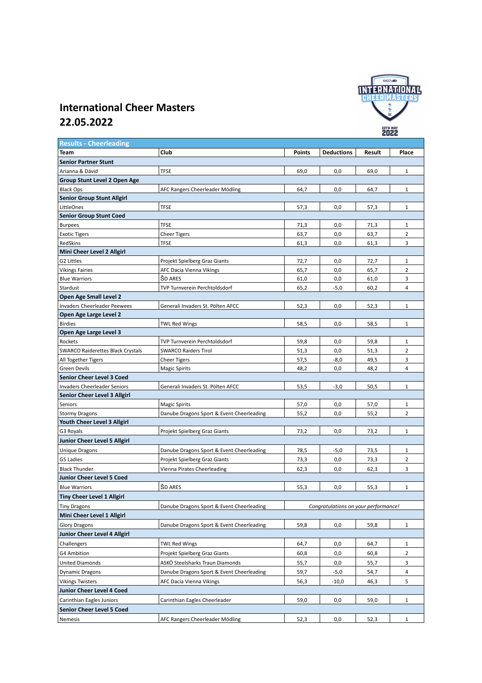

## **International Cheer Masters 22.05.2022**

| <b>Results - Cheerleading</b>            |                                           |                                      |                   |        |                |  |  |  |
|------------------------------------------|-------------------------------------------|--------------------------------------|-------------------|--------|----------------|--|--|--|
| Team                                     | Club                                      | <b>Points</b>                        | <b>Deductions</b> | Result | Place          |  |  |  |
| <b>Senior Partner Stunt</b>              |                                           |                                      |                   |        |                |  |  |  |
| Arianna & Dávid                          | <b>TFSE</b>                               | 69,0                                 | 0,0               | 69,0   | 1              |  |  |  |
| Group Stunt Level 2 Open Age             |                                           |                                      |                   |        |                |  |  |  |
| <b>Black Ops</b>                         | AFC Rangers Cheerleader Mödling           | 64,7                                 | 0,0               | 64,7   | $\mathbf{1}$   |  |  |  |
| <b>Senior Group Stunt Allgirl</b>        |                                           |                                      |                   |        |                |  |  |  |
| LittleOnes                               | <b>TFSE</b>                               | 57,3                                 | 0,0               | 57,3   | $\mathbf{1}$   |  |  |  |
| <b>Senior Group Stunt Coed</b>           |                                           |                                      |                   |        |                |  |  |  |
| <b>Burpees</b>                           | <b>TFSE</b>                               | 71,3                                 | 0,0               | 71,3   | $\mathbf{1}$   |  |  |  |
| <b>Exotic Tigers</b>                     | <b>Cheer Tigers</b>                       | 63,7                                 | 0,0               | 63,7   | $\overline{2}$ |  |  |  |
| RedSkins                                 | TFSE                                      | 61,3                                 | 0,0               | 61,3   | 3              |  |  |  |
| Mini Cheer Level 2 Allgirl               |                                           |                                      |                   |        |                |  |  |  |
| G2 Littles                               | Projekt Spielberg Graz Giants             | 72,7                                 | 0,0               | 72,7   | $\mathbf{1}$   |  |  |  |
| Vikings Fairies                          | AFC Dacia Vienna Vikings                  | 65,7                                 | 0,0               | 65,7   | $\overline{2}$ |  |  |  |
| <b>Blue Warriors</b>                     | <b>SD ARES</b>                            | 61,0                                 | 0,0               | 61,0   | 3              |  |  |  |
| Stardust                                 | TVP Turnverein Perchtoldsdorf             | 65,2                                 | $-5,0$            | 60,2   | $\overline{4}$ |  |  |  |
| Open Age Small Level 2                   |                                           |                                      |                   |        |                |  |  |  |
| <b>Invaders Cheerleader Peewees</b>      | Generali Invaders St. Pölten AFCC         | 52,3                                 | 0,0               | 52,3   | $\mathbf{1}$   |  |  |  |
| Open Age Large Level 2                   |                                           |                                      |                   |        |                |  |  |  |
| <b>Birdies</b>                           | <b>TWL Red Wings</b>                      | 58,5                                 | 0,0               | 58,5   | $\mathbf{1}$   |  |  |  |
| Open Age Large Level 3                   |                                           |                                      |                   |        |                |  |  |  |
| Rockets                                  | TVP Turnverein Perchtoldsdorf             | 59,8                                 | 0,0               | 59,8   | $\mathbf{1}$   |  |  |  |
| <b>SWARCO Raiderettes Black Crystals</b> | <b>SWARCO Raiders Tirol</b>               | 51,3                                 | 0,0               | 51,3   | 2              |  |  |  |
| All Together Tigers                      | <b>Cheer Tigers</b>                       | 57,5                                 | $-8,0$            | 49,5   | 3              |  |  |  |
| Green Devils                             | <b>Magic Spirits</b>                      | 48,2                                 | 0,0               | 48,2   | $\overline{4}$ |  |  |  |
| <b>Senior Cheer Level 3 Coed</b>         |                                           |                                      |                   |        |                |  |  |  |
| <b>Invaders Cheerleader Seniors</b>      | Generali Invaders St. Pölten AFCC         | 53,5                                 | $-3,0$            | 50,5   | $\mathbf{1}$   |  |  |  |
| Senior Cheer Level 3 Allgirl             |                                           |                                      |                   |        |                |  |  |  |
| <b>Seniors</b>                           | <b>Magic Spirits</b>                      | 57,0                                 | 0,0               | 57,0   | $\mathbf{1}$   |  |  |  |
| <b>Stormy Dragons</b>                    | Danube Dragons Sport & Event Cheerleading | 55,2                                 | 0,0               | 55,2   | $\overline{2}$ |  |  |  |
| Youth Cheer Level 3 Allgirl              |                                           |                                      |                   |        |                |  |  |  |
| G3 Royals                                | Projekt Spielberg Graz Giants             | 73,2                                 | 0,0               | 73,2   | $\mathbf{1}$   |  |  |  |
| Junior Cheer Level 5 Allgirl             |                                           |                                      |                   |        |                |  |  |  |
| <b>Unique Dragons</b>                    | Danube Dragons Sport & Event Cheerleading | 78,5                                 | $-5,0$            | 73,5   | 1              |  |  |  |
| G5 Ladies                                | Projekt Spielberg Graz Giants             | 73,3                                 | 0,0               | 73,3   | $\mathbf 2$    |  |  |  |
| <b>Black Thunder</b>                     | Vienna Pirates Cheerleading               | 62,3                                 | 0,0               | 62,3   | 3              |  |  |  |
| Junior Cheer Level 5 Coed                |                                           |                                      |                   |        |                |  |  |  |
| <b>Blue Warriors</b>                     | ŠD ARES                                   | 55,3                                 | 0,0               | 55,3   | $\mathbf{1}$   |  |  |  |
| <b>Tiny Cheer Level 1 Allgirl</b>        |                                           |                                      |                   |        |                |  |  |  |
| <b>Tiny Dragons</b>                      | Danube Dragons Sport & Event Cheerleading | Congratulations on your performance! |                   |        |                |  |  |  |
| Mini Cheer Level 1 Allgirl               |                                           |                                      |                   |        |                |  |  |  |
| <b>Glory Dragons</b>                     | Danube Dragons Sport & Event Cheerleading | 59,8                                 | 0,0               | 59,8   | $\mathbf{1}$   |  |  |  |
| Junior Cheer Level 4 Allgirl             |                                           |                                      |                   |        |                |  |  |  |
| Challengers                              | <b>TWL Red Wings</b>                      | 64,7                                 | 0,0               | 64,7   | $\mathbf{1}$   |  |  |  |
| G4 Ambition                              | Projekt Spielberg Graz Giants             | 60,8                                 | 0,0               | 60,8   | 2              |  |  |  |
| <b>United Diamonds</b>                   | ASKÖ Steelsharks Traun Diamonds           | 55,7                                 | 0,0               | 55,7   | 3              |  |  |  |
| Dynamic Dragons                          | Danube Dragons Sport & Event Cheerleading | 59,7                                 | -5,0              | 54,7   | 4              |  |  |  |
| <b>Vikings Twisters</b>                  | AFC Dacia Vienna Vikings                  | 56,3                                 | $-10,0$           | 46,3   | 5              |  |  |  |
| Junior Cheer Level 4 Coed                |                                           |                                      |                   |        |                |  |  |  |
| Carinthian Eagles Juniors                | Carinthian Eagles Cheerleader             | 59,0                                 | 0,0               | 59,0   | 1              |  |  |  |
| Senior Cheer Level 5 Coed                |                                           |                                      |                   |        |                |  |  |  |
| Nemesis                                  | AFC Rangers Cheerleader Mödling           | 52,3                                 | 0,0               | 52,3   | $1\,$          |  |  |  |